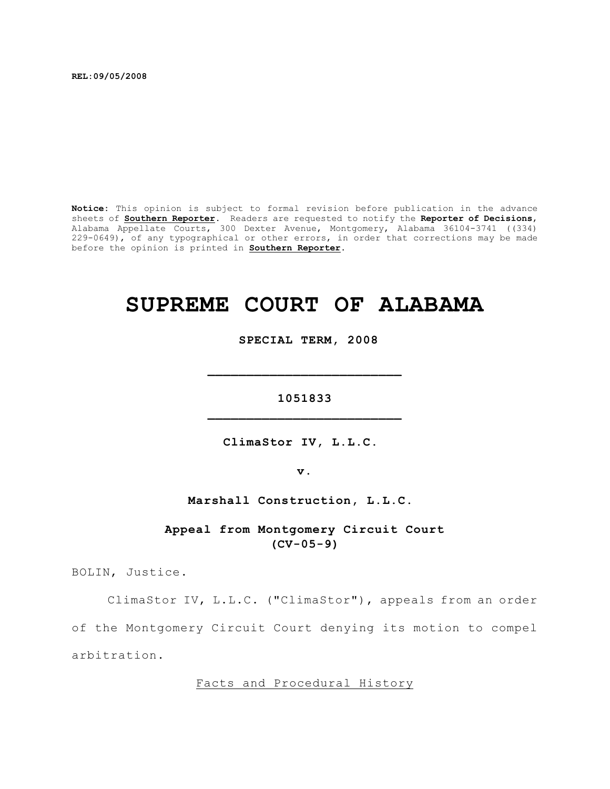**REL:09/05/2008**

**Notice:** This opinion is subject to formal revision before publication in the advance sheets of **Southern Reporter**. Readers are requested to notify the **Reporter of Decisions**, Alabama Appellate Courts, 300 Dexter Avenue, Montgomery, Alabama 36104-3741 ((334) 229-0649), of any typographical or other errors, in order that corrections may be made before the opinion is printed in **Southern Reporter**.

# **SUPREME COURT OF ALABAMA**

 **SPECIAL TERM, 2008**

**1051833 \_\_\_\_\_\_\_\_\_\_\_\_\_\_\_\_\_\_\_\_\_\_\_\_\_**

**\_\_\_\_\_\_\_\_\_\_\_\_\_\_\_\_\_\_\_\_\_\_\_\_\_**

**ClimaStor IV, L.L.C.** 

**v.**

**Marshall Construction, L.L.C.** 

**Appeal from Montgomery Circuit Court (CV-05-9)**

BOLIN, Justice.

ClimaStor IV, L.L.C. ("ClimaStor"), appeals from an order of the Montgomery Circuit Court denying its motion to compel arbitration.

Facts and Procedural History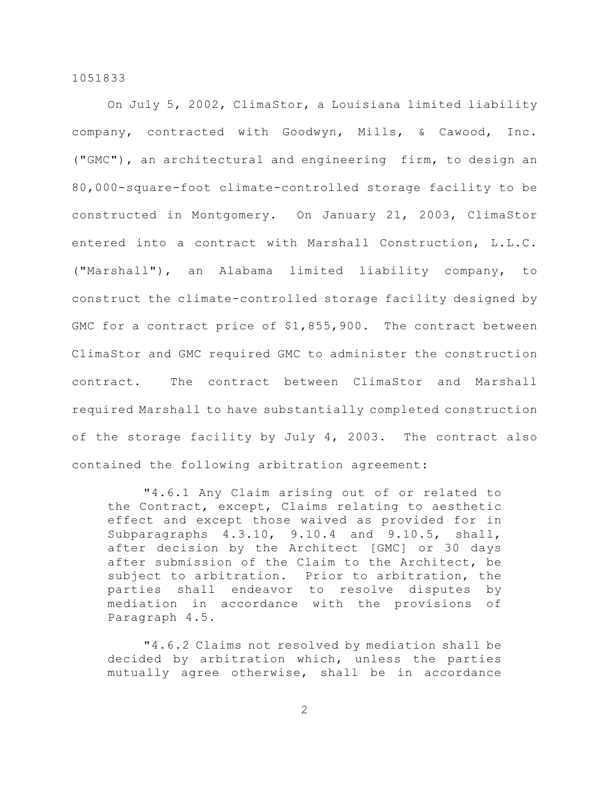On July 5, 2002, ClimaStor, a Louisiana limited liability company, contracted with Goodwyn, Mills, & Cawood, Inc. ("GMC"), an architectural and engineering firm, to design an 80,000-square-foot climate-controlled storage facility to be constructed in Montgomery. On January 21, 2003, ClimaStor entered into a contract with Marshall Construction, L.L.C. ("Marshall"), an Alabama limited liability company, to construct the climate-controlled storage facility designed by GMC for a contract price of \$1,855,900. The contract between ClimaStor and GMC required GMC to administer the construction contract. The contract between ClimaStor and Marshall required Marshall to have substantially completed construction of the storage facility by July 4, 2003. The contract also contained the following arbitration agreement:

"4.6.1 Any Claim arising out of or related to the Contract, except, Claims relating to aesthetic effect and except those waived as provided for in Subparagraphs 4.3.10, 9.10.4 and 9.10.5, shall, after decision by the Architect [GMC] or 30 days after submission of the Claim to the Architect, be subject to arbitration. Prior to arbitration, the parties shall endeavor to resolve disputes by mediation in accordance with the provisions of Paragraph 4.5.

"4.6.2 Claims not resolved by mediation shall be decided by arbitration which, unless the parties mutually agree otherwise, shall be in accordance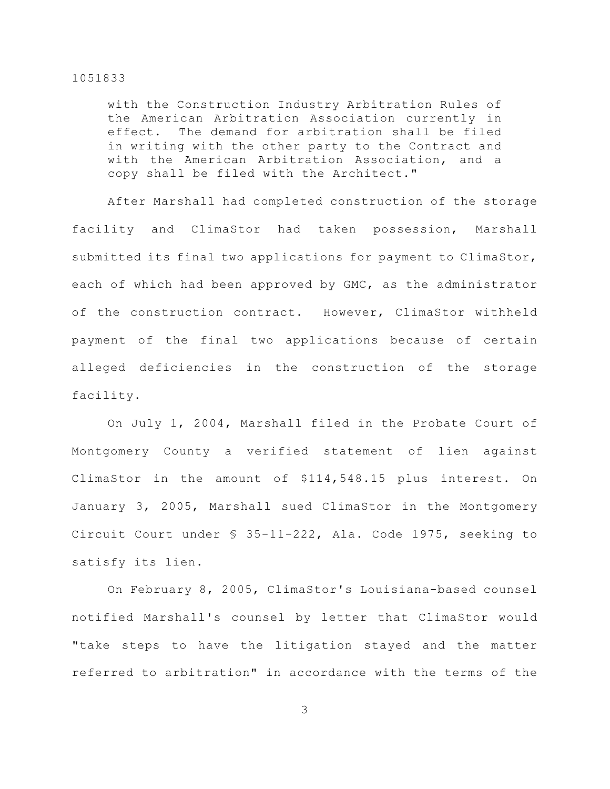with the Construction Industry Arbitration Rules of the American Arbitration Association currently in effect. The demand for arbitration shall be filed in writing with the other party to the Contract and with the American Arbitration Association, and a copy shall be filed with the Architect."

After Marshall had completed construction of the storage facility and ClimaStor had taken possession, Marshall submitted its final two applications for payment to ClimaStor, each of which had been approved by GMC, as the administrator of the construction contract. However, ClimaStor withheld payment of the final two applications because of certain alleged deficiencies in the construction of the storage facility.

On July 1, 2004, Marshall filed in the Probate Court of Montgomery County a verified statement of lien against ClimaStor in the amount of \$114,548.15 plus interest. On January 3, 2005, Marshall sued ClimaStor in the Montgomery Circuit Court under § 35-11-222, Ala. Code 1975, seeking to satisfy its lien.

On February 8, 2005, ClimaStor's Louisiana-based counsel notified Marshall's counsel by letter that ClimaStor would "take steps to have the litigation stayed and the matter referred to arbitration" in accordance with the terms of the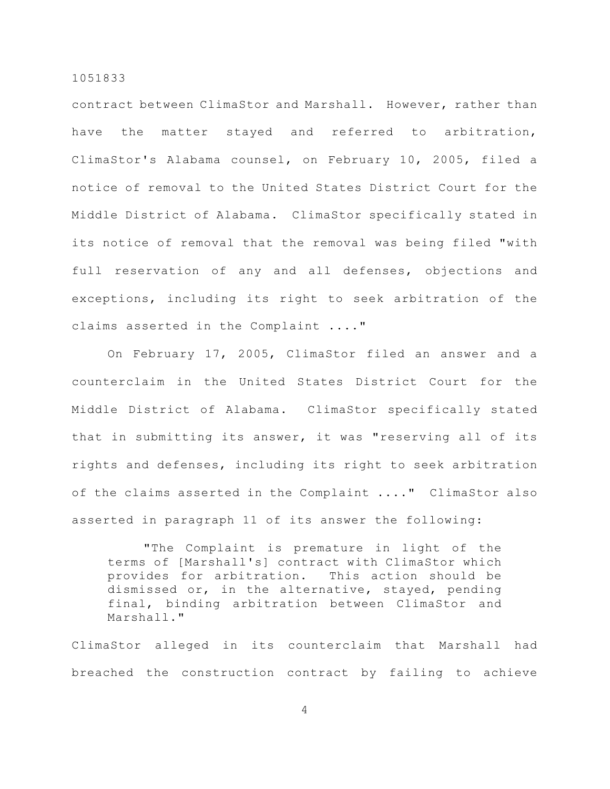contract between ClimaStor and Marshall. However, rather than have the matter stayed and referred to arbitration, ClimaStor's Alabama counsel, on February 10, 2005, filed a notice of removal to the United States District Court for the Middle District of Alabama. ClimaStor specifically stated in its notice of removal that the removal was being filed "with full reservation of any and all defenses, objections and exceptions, including its right to seek arbitration of the claims asserted in the Complaint ...."

On February 17, 2005, ClimaStor filed an answer and a counterclaim in the United States District Court for the Middle District of Alabama. ClimaStor specifically stated that in submitting its answer, it was "reserving all of its rights and defenses, including its right to seek arbitration of the claims asserted in the Complaint ...." ClimaStor also asserted in paragraph 11 of its answer the following:

"The Complaint is premature in light of the terms of [Marshall's] contract with ClimaStor which provides for arbitration. This action should be dismissed or, in the alternative, stayed, pending final, binding arbitration between ClimaStor and Marshall."

ClimaStor alleged in its counterclaim that Marshall had breached the construction contract by failing to achieve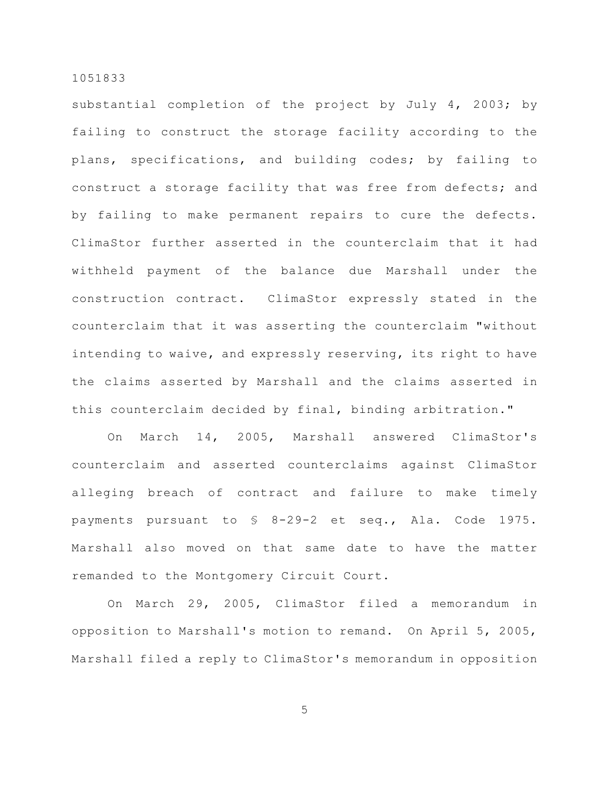substantial completion of the project by July 4, 2003; by failing to construct the storage facility according to the plans, specifications, and building codes; by failing to construct a storage facility that was free from defects; and by failing to make permanent repairs to cure the defects. ClimaStor further asserted in the counterclaim that it had withheld payment of the balance due Marshall under the construction contract. ClimaStor expressly stated in the counterclaim that it was asserting the counterclaim "without intending to waive, and expressly reserving, its right to have the claims asserted by Marshall and the claims asserted in this counterclaim decided by final, binding arbitration."

On March 14, 2005, Marshall answered ClimaStor's counterclaim and asserted counterclaims against ClimaStor alleging breach of contract and failure to make timely payments pursuant to § 8-29-2 et seq., Ala. Code 1975. Marshall also moved on that same date to have the matter remanded to the Montgomery Circuit Court.

On March 29, 2005, ClimaStor filed a memorandum in opposition to Marshall's motion to remand. On April 5, 2005, Marshall filed a reply to ClimaStor's memorandum in opposition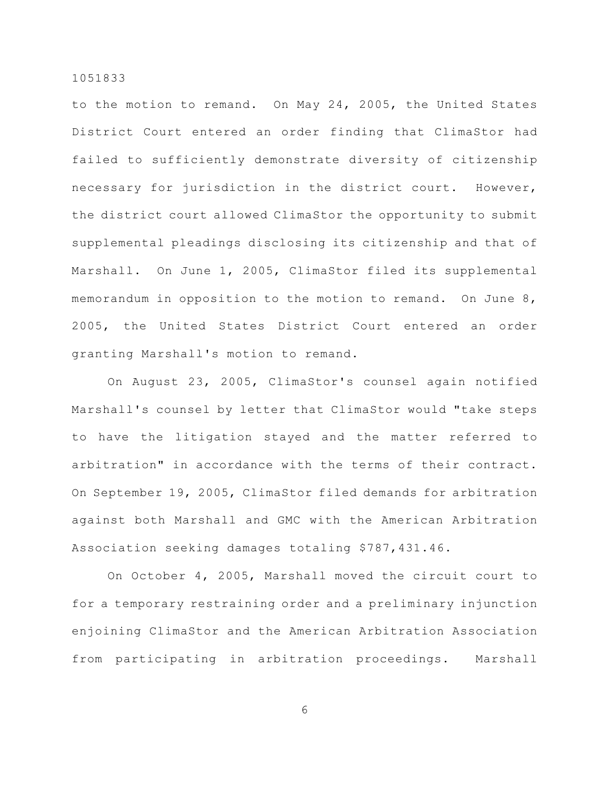to the motion to remand. On May 24, 2005, the United States District Court entered an order finding that ClimaStor had failed to sufficiently demonstrate diversity of citizenship necessary for jurisdiction in the district court. However, the district court allowed ClimaStor the opportunity to submit supplemental pleadings disclosing its citizenship and that of Marshall. On June 1, 2005, ClimaStor filed its supplemental memorandum in opposition to the motion to remand. On June 8, 2005, the United States District Court entered an order granting Marshall's motion to remand.

On August 23, 2005, ClimaStor's counsel again notified Marshall's counsel by letter that ClimaStor would "take steps to have the litigation stayed and the matter referred to arbitration" in accordance with the terms of their contract. On September 19, 2005, ClimaStor filed demands for arbitration against both Marshall and GMC with the American Arbitration Association seeking damages totaling \$787,431.46.

On October 4, 2005, Marshall moved the circuit court to for a temporary restraining order and a preliminary injunction enjoining ClimaStor and the American Arbitration Association from participating in arbitration proceedings. Marshall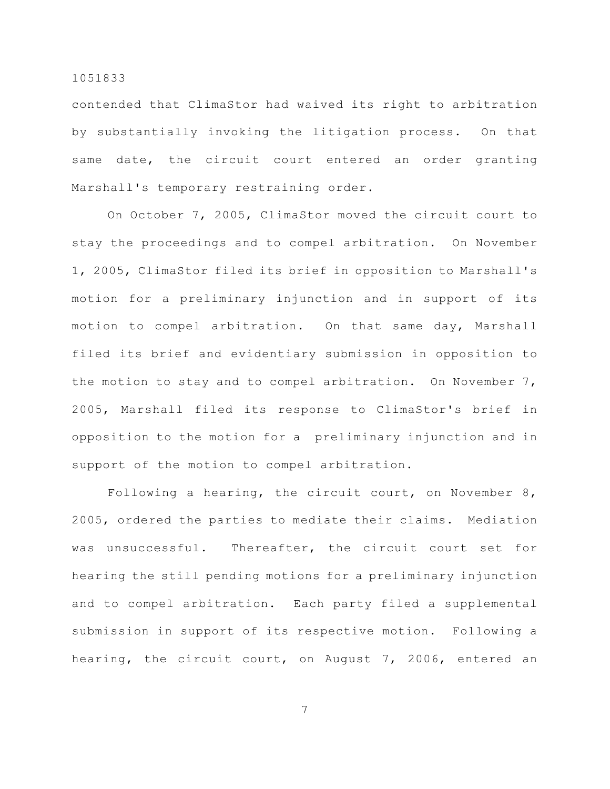contended that ClimaStor had waived its right to arbitration by substantially invoking the litigation process. On that same date, the circuit court entered an order granting Marshall's temporary restraining order.

On October 7, 2005, ClimaStor moved the circuit court to stay the proceedings and to compel arbitration. On November 1, 2005, ClimaStor filed its brief in opposition to Marshall's motion for a preliminary injunction and in support of its motion to compel arbitration. On that same day, Marshall filed its brief and evidentiary submission in opposition to the motion to stay and to compel arbitration. On November 7, 2005, Marshall filed its response to ClimaStor's brief in opposition to the motion for a preliminary injunction and in support of the motion to compel arbitration.

Following a hearing, the circuit court, on November 8, 2005, ordered the parties to mediate their claims. Mediation was unsuccessful. Thereafter, the circuit court set for hearing the still pending motions for a preliminary injunction and to compel arbitration. Each party filed a supplemental submission in support of its respective motion. Following a hearing, the circuit court, on August 7, 2006, entered an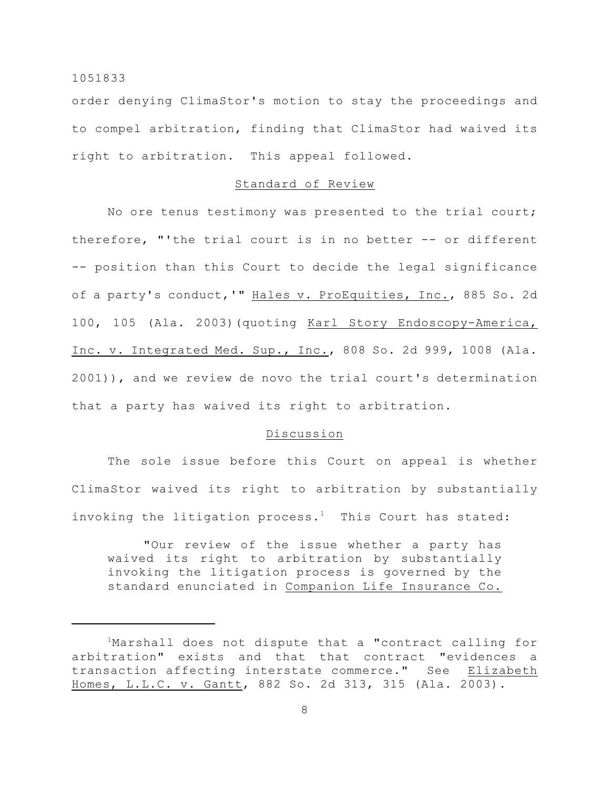order denying ClimaStor's motion to stay the proceedings and to compel arbitration, finding that ClimaStor had waived its right to arbitration. This appeal followed.

# Standard of Review

No ore tenus testimony was presented to the trial court; therefore, "'the trial court is in no better -- or different -- position than this Court to decide the legal significance of a party's conduct, '" Hales v. ProEquities, Inc., 885 So. 2d 100, 105 (Ala. 2003)(quoting Karl Story Endoscopy-America, Inc. v. Integrated Med. Sup., Inc., 808 So. 2d 999, 1008 (Ala. 2001)), and we review de novo the trial court's determination that a party has waived its right to arbitration.

## Discussion

The sole issue before this Court on appeal is whether ClimaStor waived its right to arbitration by substantially invoking the litigation process.<sup>1</sup> This Court has stated:

"Our review of the issue whether a party has waived its right to arbitration by substantially invoking the litigation process is governed by the standard enunciated in Companion Life Insurance Co.

<sup>&</sup>lt;sup>1</sup>Marshall does not dispute that a "contract calling for arbitration" exists and that that contract "evidences a transaction affecting interstate commerce." See Elizabeth Homes, L.L.C. v. Gantt, 882 So. 2d 313, 315 (Ala. 2003).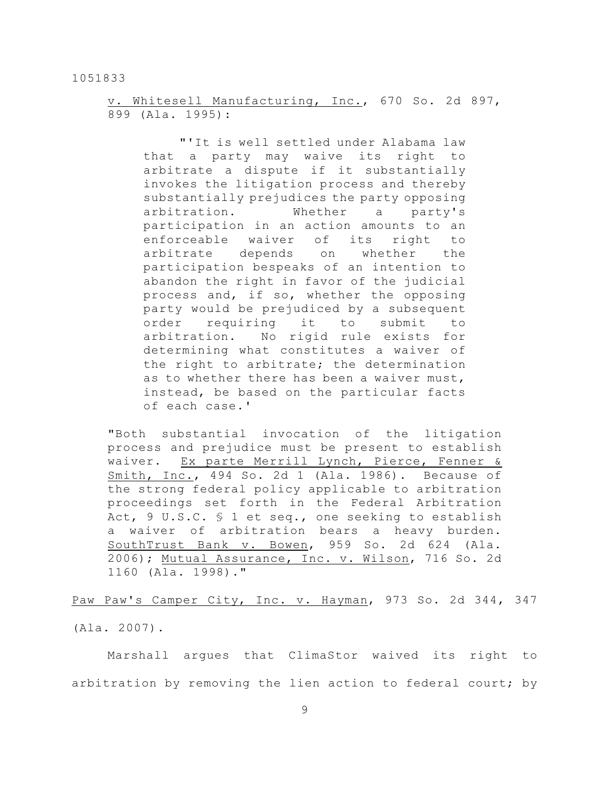v. Whitesell Manufacturing, Inc., 670 So. 2d 897, 899 (Ala. 1995):

"'It is well settled under Alabama law that a party may waive its right to arbitrate a dispute if it substantially invokes the litigation process and thereby substantially prejudices the party opposing arbitration. Whether a party's participation in an action amounts to an enforceable waiver of its right to arbitrate depends on whether the participation bespeaks of an intention to abandon the right in favor of the judicial process and, if so, whether the opposing party would be prejudiced by a subsequent order requiring it to submit to arbitration. No rigid rule exists for determining what constitutes a waiver of the right to arbitrate; the determination as to whether there has been a waiver must, instead, be based on the particular facts of each case.'

"Both substantial invocation of the litigation process and prejudice must be present to establish waiver. Ex parte Merrill Lynch, Pierce, Fenner & Smith, Inc., 494 So. 2d 1 (Ala. 1986). Because of the strong federal policy applicable to arbitration proceedings set forth in the Federal Arbitration Act, 9 U.S.C. § 1 et seq., one seeking to establish a waiver of arbitration bears a heavy burden. SouthTrust Bank v. Bowen, 959 So. 2d 624 (Ala. 2006); Mutual Assurance, Inc. v. Wilson, 716 So. 2d 1160 (Ala. 1998)."

Paw Paw's Camper City, Inc. v. Hayman, 973 So. 2d 344, 347 (Ala. 2007).

Marshall argues that ClimaStor waived its right to arbitration by removing the lien action to federal court; by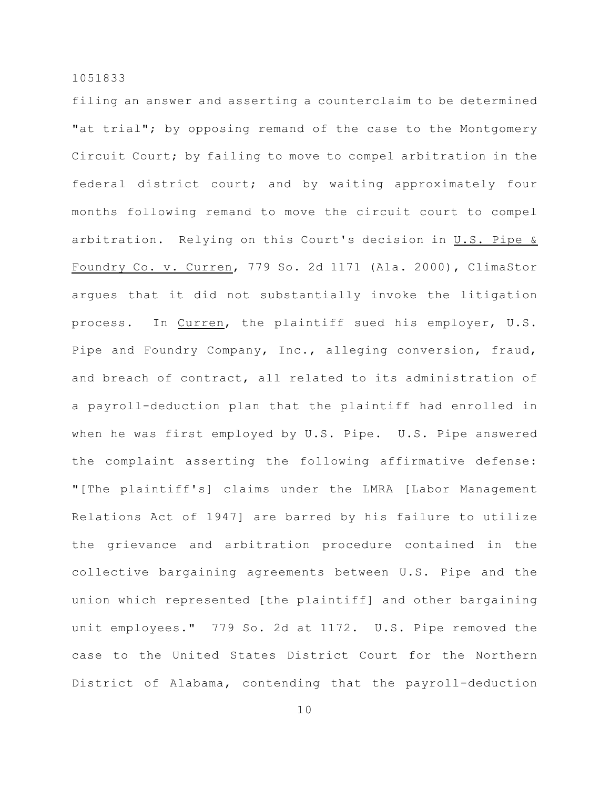filing an answer and asserting a counterclaim to be determined "at trial"; by opposing remand of the case to the Montgomery Circuit Court; by failing to move to compel arbitration in the federal district court; and by waiting approximately four months following remand to move the circuit court to compel arbitration. Relying on this Court's decision in U.S. Pipe & Foundry Co. v. Curren, 779 So. 2d 1171 (Ala. 2000), ClimaStor argues that it did not substantially invoke the litigation process. In Curren, the plaintiff sued his employer, U.S. Pipe and Foundry Company, Inc., alleging conversion, fraud, and breach of contract, all related to its administration of a payroll-deduction plan that the plaintiff had enrolled in when he was first employed by U.S. Pipe. U.S. Pipe answered the complaint asserting the following affirmative defense: "[The plaintiff's] claims under the LMRA [Labor Management Relations Act of 1947] are barred by his failure to utilize the grievance and arbitration procedure contained in the collective bargaining agreements between U.S. Pipe and the union which represented [the plaintiff] and other bargaining unit employees." 779 So. 2d at 1172. U.S. Pipe removed the case to the United States District Court for the Northern District of Alabama, contending that the payroll-deduction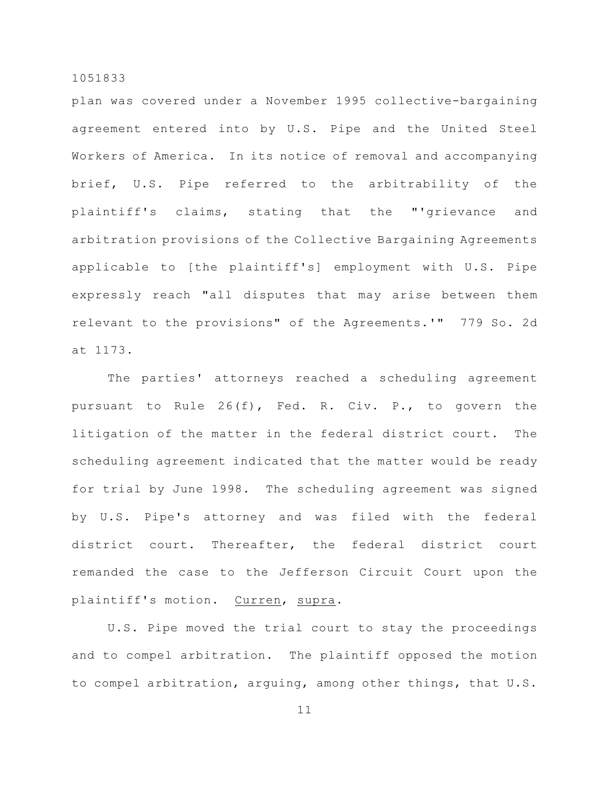plan was covered under a November 1995 collective-bargaining agreement entered into by U.S. Pipe and the United Steel Workers of America. In its notice of removal and accompanying brief, U.S. Pipe referred to the arbitrability of the plaintiff's claims, stating that the "'grievance and arbitration provisions of the Collective Bargaining Agreements applicable to [the plaintiff's] employment with U.S. Pipe expressly reach "all disputes that may arise between them relevant to the provisions" of the Agreements.'" 779 So. 2d at 1173.

The parties' attorneys reached a scheduling agreement pursuant to Rule 26(f), Fed. R. Civ. P., to govern the litigation of the matter in the federal district court. The scheduling agreement indicated that the matter would be ready for trial by June 1998. The scheduling agreement was signed by U.S. Pipe's attorney and was filed with the federal district court. Thereafter, the federal district court remanded the case to the Jefferson Circuit Court upon the plaintiff's motion. Curren, supra.

U.S. Pipe moved the trial court to stay the proceedings and to compel arbitration. The plaintiff opposed the motion to compel arbitration, arguing, among other things, that U.S.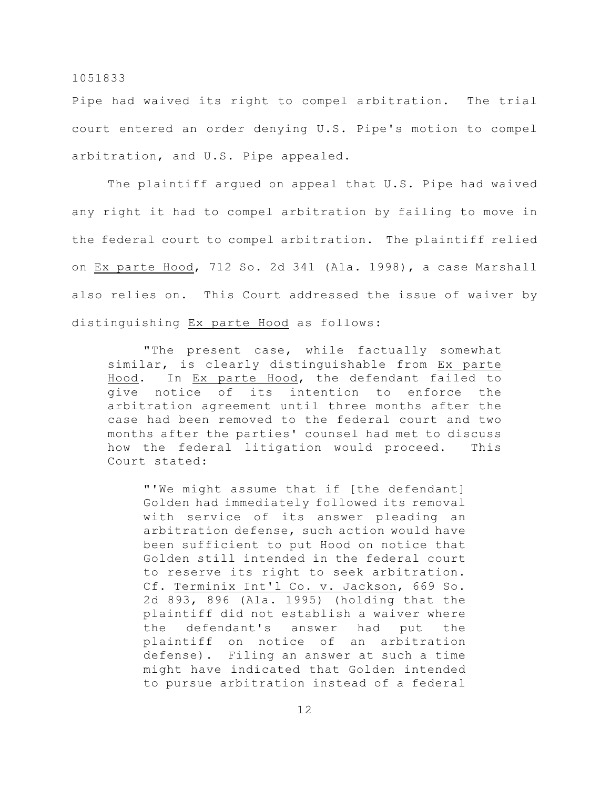Pipe had waived its right to compel arbitration. The trial court entered an order denying U.S. Pipe's motion to compel arbitration, and U.S. Pipe appealed.

The plaintiff argued on appeal that U.S. Pipe had waived any right it had to compel arbitration by failing to move in the federal court to compel arbitration. The plaintiff relied on Ex parte Hood, 712 So. 2d 341 (Ala. 1998), a case Marshall also relies on. This Court addressed the issue of waiver by distinguishing Ex parte Hood as follows:

"The present case, while factually somewhat similar, is clearly distinguishable from Ex parte Hood. In Ex parte Hood, the defendant failed to give notice of its intention to enforce the arbitration agreement until three months after the case had been removed to the federal court and two months after the parties' counsel had met to discuss how the federal litigation would proceed. This Court stated:

"'We might assume that if [the defendant] Golden had immediately followed its removal with service of its answer pleading an arbitration defense, such action would have been sufficient to put Hood on notice that Golden still intended in the federal court to reserve its right to seek arbitration. Cf. Terminix Int'l Co. v. Jackson, 669 So. 2d 893, 896 (Ala. 1995) (holding that the plaintiff did not establish a waiver where the defendant's answer had put the plaintiff on notice of an arbitration defense). Filing an answer at such a time might have indicated that Golden intended to pursue arbitration instead of a federal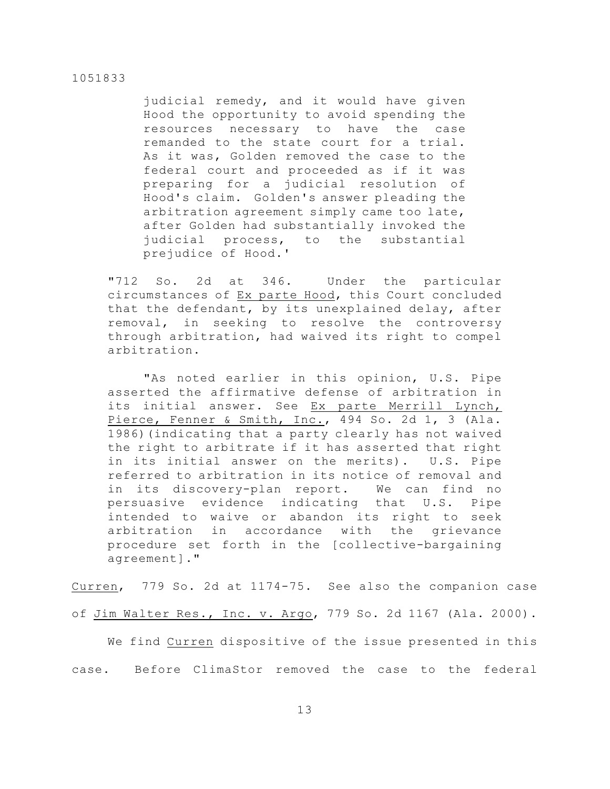judicial remedy, and it would have given Hood the opportunity to avoid spending the resources necessary to have the case remanded to the state court for a trial. As it was, Golden removed the case to the federal court and proceeded as if it was preparing for a judicial resolution of Hood's claim. Golden's answer pleading the arbitration agreement simply came too late, after Golden had substantially invoked the judicial process, to the substantial prejudice of Hood.'

"712 So. 2d at 346. Under the particular circumstances of Ex parte Hood, this Court concluded that the defendant, by its unexplained delay, after removal, in seeking to resolve the controversy through arbitration, had waived its right to compel arbitration.

"As noted earlier in this opinion, U.S. Pipe asserted the affirmative defense of arbitration in its initial answer. See Ex parte Merrill Lynch, Pierce, Fenner & Smith, Inc., 494 So. 2d 1, 3 (Ala. 1986)(indicating that a party clearly has not waived the right to arbitrate if it has asserted that right in its initial answer on the merits). U.S. Pipe referred to arbitration in its notice of removal and in its discovery-plan report. We can find no persuasive evidence indicating that U.S. Pipe intended to waive or abandon its right to seek arbitration in accordance with the grievance procedure set forth in the [collective-bargaining agreement]."

Curren, 779 So. 2d at 1174-75. See also the companion case of Jim Walter Res., Inc. v. Argo, 779 So. 2d 1167 (Ala. 2000).

We find Curren dispositive of the issue presented in this case. Before ClimaStor removed the case to the federal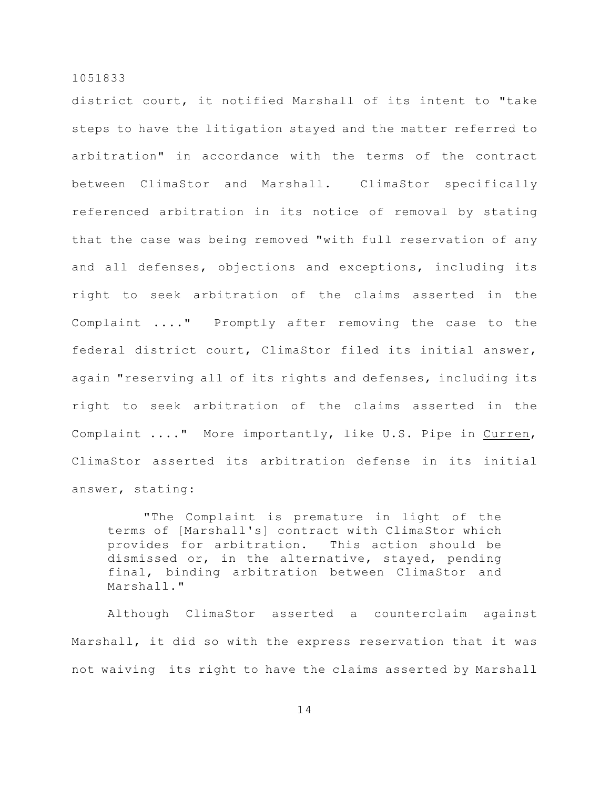district court, it notified Marshall of its intent to "take steps to have the litigation stayed and the matter referred to arbitration" in accordance with the terms of the contract between ClimaStor and Marshall. ClimaStor specifically referenced arbitration in its notice of removal by stating that the case was being removed "with full reservation of any and all defenses, objections and exceptions, including its right to seek arbitration of the claims asserted in the Complaint ...." Promptly after removing the case to the federal district court, ClimaStor filed its initial answer, again "reserving all of its rights and defenses, including its right to seek arbitration of the claims asserted in the Complaint ...." More importantly, like U.S. Pipe in Curren, ClimaStor asserted its arbitration defense in its initial answer, stating:

"The Complaint is premature in light of the terms of [Marshall's] contract with ClimaStor which provides for arbitration. This action should be dismissed or, in the alternative, stayed, pending final, binding arbitration between ClimaStor and Marshall."

Although ClimaStor asserted a counterclaim against Marshall, it did so with the express reservation that it was not waiving its right to have the claims asserted by Marshall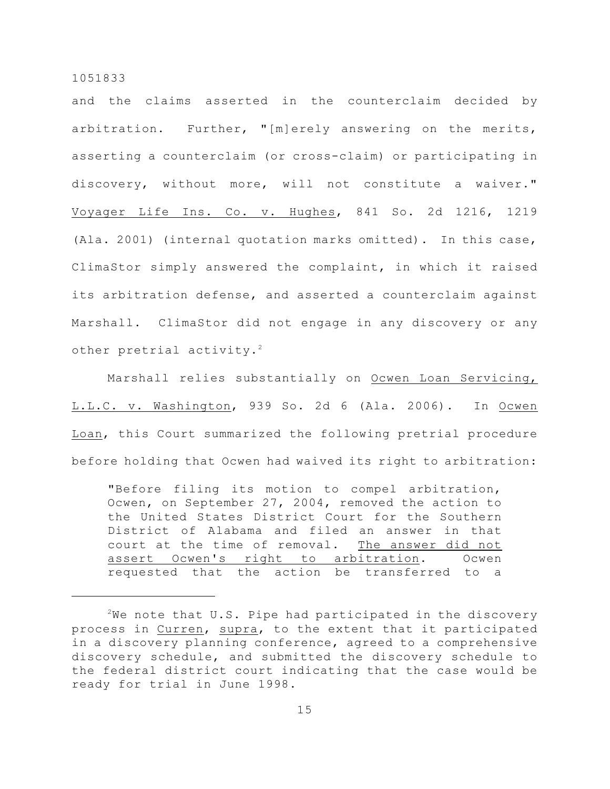and the claims asserted in the counterclaim decided by arbitration. Further, "[m]erely answering on the merits, asserting a counterclaim (or cross-claim) or participating in discovery, without more, will not constitute a waiver." Voyager Life Ins. Co. v. Hughes, 841 So. 2d 1216, 1219 (Ala. 2001) (internal quotation marks omitted). In this case, ClimaStor simply answered the complaint, in which it raised its arbitration defense, and asserted a counterclaim against Marshall. ClimaStor did not engage in any discovery or any other pretrial activity.<sup>2</sup>

Marshall relies substantially on Ocwen Loan Servicing, L.L.C. v. Washington, 939 So. 2d 6 (Ala. 2006). In Ocwen Loan, this Court summarized the following pretrial procedure before holding that Ocwen had waived its right to arbitration:

"Before filing its motion to compel arbitration, Ocwen, on September 27, 2004, removed the action to the United States District Court for the Southern District of Alabama and filed an answer in that court at the time of removal. The answer did not assert Ocwen's right to arbitration. Ocwen requested that the action be transferred to a

<sup>&</sup>lt;sup>2</sup>We note that U.S. Pipe had participated in the discovery process in Curren, supra, to the extent that it participated in a discovery planning conference, agreed to a comprehensive discovery schedule, and submitted the discovery schedule to the federal district court indicating that the case would be ready for trial in June 1998.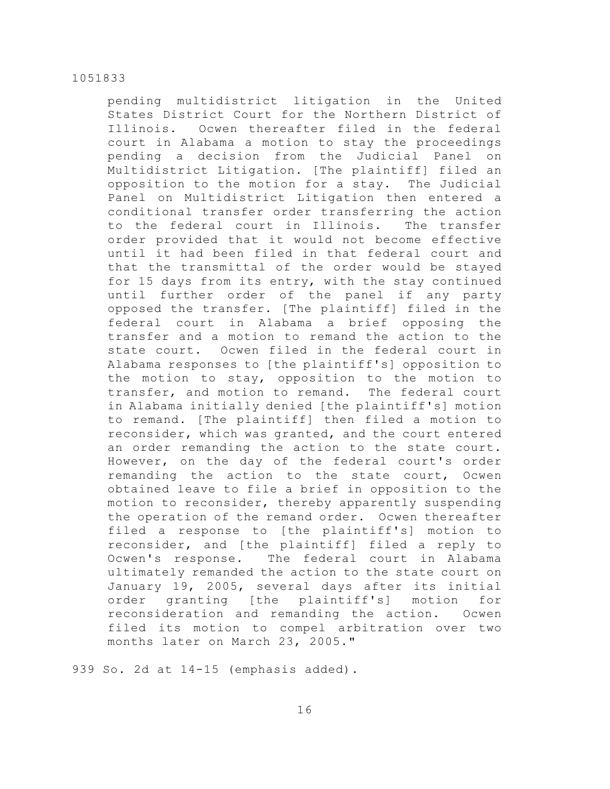pending multidistrict litigation in the United States District Court for the Northern District of Illinois. Ocwen thereafter filed in the federal court in Alabama a motion to stay the proceedings pending a decision from the Judicial Panel on Multidistrict Litigation. [The plaintiff] filed an opposition to the motion for a stay. The Judicial Panel on Multidistrict Litigation then entered a conditional transfer order transferring the action to the federal court in Illinois. The transfer order provided that it would not become effective until it had been filed in that federal court and that the transmittal of the order would be stayed for 15 days from its entry, with the stay continued until further order of the panel if any party opposed the transfer. [The plaintiff] filed in the federal court in Alabama a brief opposing the transfer and a motion to remand the action to the state court. Ocwen filed in the federal court in Alabama responses to [the plaintiff's] opposition to the motion to stay, opposition to the motion to transfer, and motion to remand. The federal court in Alabama initially denied [the plaintiff's] motion to remand. [The plaintiff] then filed a motion to reconsider, which was granted, and the court entered an order remanding the action to the state court. However, on the day of the federal court's order remanding the action to the state court, Ocwen obtained leave to file a brief in opposition to the motion to reconsider, thereby apparently suspending the operation of the remand order. Ocwen thereafter filed a response to [the plaintiff's] motion to reconsider, and [the plaintiff] filed a reply to Ocwen's response. The federal court in Alabama ultimately remanded the action to the state court on January 19, 2005, several days after its initial order granting [the plaintiff's] motion for reconsideration and remanding the action. Ocwen filed its motion to compel arbitration over two months later on March 23, 2005."

939 So. 2d at 14-15 (emphasis added).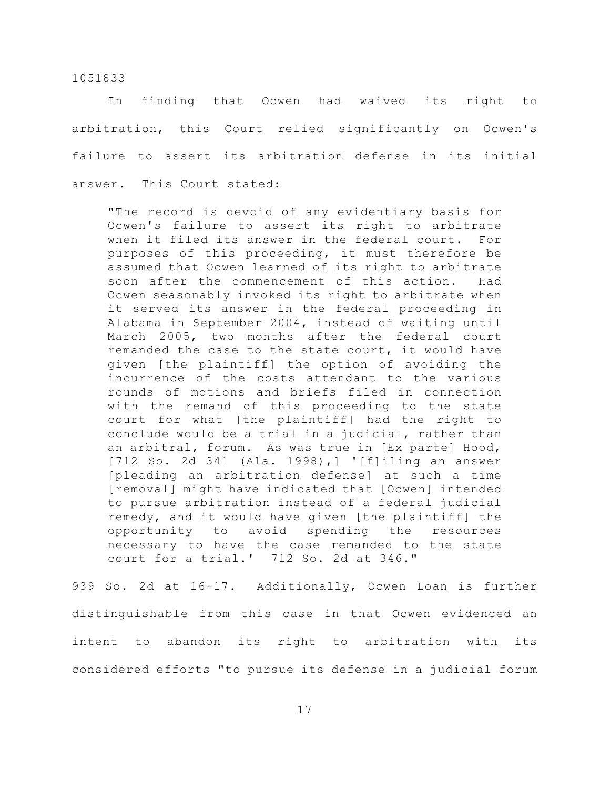In finding that Ocwen had waived its right to arbitration, this Court relied significantly on Ocwen's failure to assert its arbitration defense in its initial answer. This Court stated:

"The record is devoid of any evidentiary basis for Ocwen's failure to assert its right to arbitrate when it filed its answer in the federal court. For purposes of this proceeding, it must therefore be assumed that Ocwen learned of its right to arbitrate soon after the commencement of this action. Had Ocwen seasonably invoked its right to arbitrate when it served its answer in the federal proceeding in Alabama in September 2004, instead of waiting until March 2005, two months after the federal court remanded the case to the state court, it would have given [the plaintiff] the option of avoiding the incurrence of the costs attendant to the various rounds of motions and briefs filed in connection with the remand of this proceeding to the state court for what [the plaintiff] had the right to conclude would be a trial in a judicial, rather than an arbitral, forum. As was true in [Ex parte] Hood, [712 So. 2d 341 (Ala. 1998),] '[f]iling an answer [pleading an arbitration defense] at such a time [removal] might have indicated that [Ocwen] intended to pursue arbitration instead of a federal judicial remedy, and it would have given [the plaintiff] the opportunity to avoid spending the resources necessary to have the case remanded to the state court for a trial.' 712 So. 2d at 346."

939 So. 2d at 16-17. Additionally, Ocwen Loan is further distinguishable from this case in that Ocwen evidenced an intent to abandon its right to arbitration with its considered efforts "to pursue its defense in a judicial forum